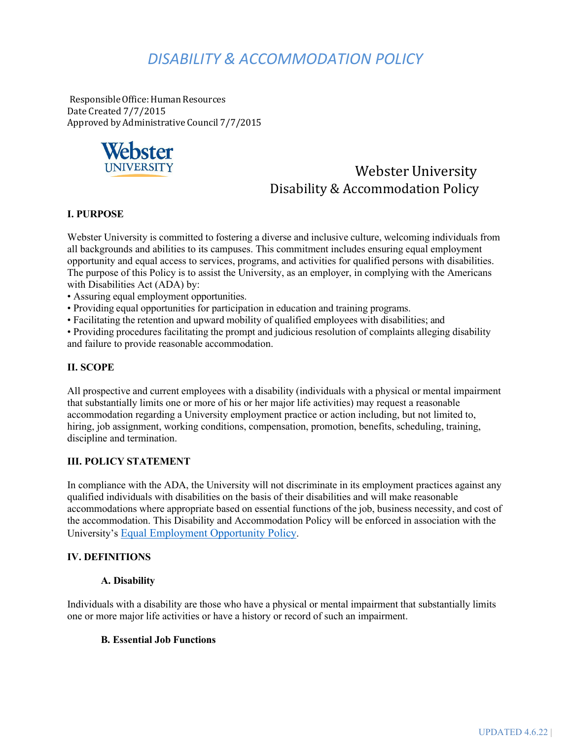# *DISABILITY & ACCOMMODATION POLICY*

ResponsibleOffice:Human Resources Date Created 7/7/2015 Approved by Administrative Council 7/7/2015



## Webster University Disability & Accommodation Policy

### **I. PURPOSE**

Webster University is committed to fostering a diverse and inclusive culture, welcoming individuals from all backgrounds and abilities to its campuses. This commitment includes ensuring equal employment opportunity and equal access to services, programs, and activities for qualified persons with disabilities. The purpose of this Policy is to assist the University, as an employer, in complying with the Americans with Disabilities Act (ADA) by:

- Assuring equal employment opportunities.
- Providing equal opportunities for participation in education and training programs.
- Facilitating the retention and upward mobility of qualified employees with disabilities; and

• Providing procedures facilitating the prompt and judicious resolution of complaints alleging disability and failure to provide reasonable accommodation.

### **II. SCOPE**

All prospective and current employees with a disability (individuals with a physical or mental impairment that substantially limits one or more of his or her major life activities) may request a reasonable accommodation regarding a University employment practice or action including, but not limited to, hiring, job assignment, working conditions, compensation, promotion, benefits, scheduling, training, discipline and termination.

#### **III. POLICY STATEMENT**

In compliance with the ADA, the University will not discriminate in its employment practices against any qualified individuals with disabilities on the basis of their disabilities and will make reasonable accommodations where appropriate based on essential functions of the job, business necessity, and cost of the accommodation. This Disability and Accommodation Policy will be enforced in association with the University's [Equal Employment Opportunity Policy.](https://websteru.sharepoint.com/sites/HumanResources/HR%20Policies/Forms/AllItems.aspx?id=%2Fsites%2FHumanResources%2FHR%20Policies%2FGeneral%20Policies%2FWebster%20EEO%20Policy%2Epdf&parent=%2Fsites%2FHumanResources%2FHR%20Policies%2FGeneral%20Policies)

#### **IV. DEFINITIONS**

#### **A. Disability**

Individuals with a disability are those who have a physical or mental impairment that substantially limits one or more major life activities or have a history or record of such an impairment.

#### **B. Essential Job Functions**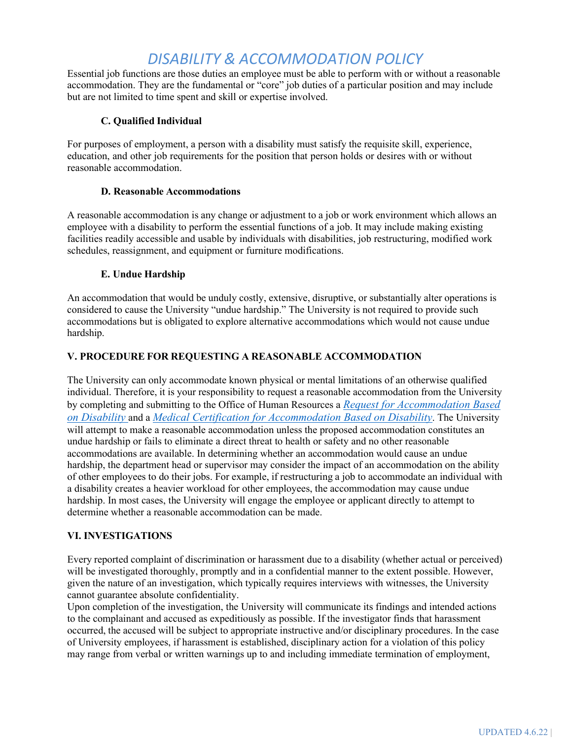## *DISABILITY & ACCOMMODATION POLICY*

Essential job functions are those duties an employee must be able to perform with or without a reasonable accommodation. They are the fundamental or "core" job duties of a particular position and may include but are not limited to time spent and skill or expertise involved.

## **C. Qualified Individual**

For purposes of employment, a person with a disability must satisfy the requisite skill, experience, education, and other job requirements for the position that person holds or desires with or without reasonable accommodation.

### **D. Reasonable Accommodations**

A reasonable accommodation is any change or adjustment to a job or work environment which allows an employee with a disability to perform the essential functions of a job. It may include making existing facilities readily accessible and usable by individuals with disabilities, job restructuring, modified work schedules, reassignment, and equipment or furniture modifications.

### **E. Undue Hardship**

An accommodation that would be unduly costly, extensive, disruptive, or substantially alter operations is considered to cause the University "undue hardship." The University is not required to provide such accommodations but is obligated to explore alternative accommodations which would not cause undue hardship.

## **V. PROCEDURE FOR REQUESTING A REASONABLE ACCOMMODATION**

The University can only accommodate known physical or mental limitations of an otherwise qualified individual. Therefore, it is your responsibility to request a reasonable accommodation from the University by completing and submitting to the Office of Human Resources a *[Request for Accommodation Based](https://websteru.sharepoint.com/sites/HumanResources/Employee%20Services/Forms/AllItems.aspx?id=%2Fsites%2FHumanResources%2FEmployee%20Services%2FMain%20Page%20Documents%2FHR%20Forms%2FRequest%20for%20Disability%20Accommodation%2Epdf&parent=%2Fsites%2FHumanResources%2FEmployee%20Services%2FMain%20Page%20Documents%2FHR%20Forms) [on Disability](https://nam04.safelinks.protection.outlook.com/?url=https%3A%2F%2Flegacy.webster.edu%2Fdocuments%2Fhuman-resources%2Fforms%2Fpolicies%2Frequest_disability_accommodation.pdf&data=04%7C01%7Ctonjakirby%40webster.edu%7Cb1335a58602b491041e008d91bb4fbb1%7Cf57ccca6fb064b328226baf224ff198d%7C0%7C0%7C637571286407364484%7CUnknown%7CTWFpbGZsb3d8eyJWIjoiMC4wLjAwMDAiLCJQIjoiV2luMzIiLCJBTiI6Ik1haWwiLCJXVCI6Mn0%3D%7C1000&sdata=sbnE%2FoRzoYREIdtlDf%2BhnVLBMWQUEy3Ey6AfpNPz3gE%3D&reserved=0)* and a *[Medical Certification for Accommodation Based on Disability](https://websteru.sharepoint.com/sites/HumanResources/Employee%20Services/Forms/AllItems.aspx?id=%2Fsites%2FHumanResources%2FEmployee%20Services%2FMain%20Page%20Documents%2FHR%20Forms%2FMedical%20Accommodation%20Request%20Form%2Epdf&parent=%2Fsites%2FHumanResources%2FEmployee%20Services%2FMain%20Page%20Documents%2FHR%20Forms)*[. T](https://websteru.sharepoint.com/sites/HumanResources/Employee%20Services/Forms/AllItems.aspx?id=%2Fsites%2FHumanResources%2FEmployee%20Services%2FMain%20Page%20Documents%2FHR%20Forms%2FMedical%20Accommodation%20Request%20Form%2Epdf&parent=%2Fsites%2FHumanResources%2FEmployee%20Services%2FMain%20Page%20Documents%2FHR%20Forms)he University will attempt to make a reasonable accommodation unless the proposed accommodation constitutes an undue hardship or fails to eliminate a direct threat to health or safety and no other reasonable accommodations are available. In determining whether an accommodation would cause an undue hardship, the department head or supervisor may consider the impact of an accommodation on the ability of other employees to do their jobs. For example, if restructuring a job to accommodate an individual with a disability creates a heavier workload for other employees, the accommodation may cause undue hardship. In most cases, the University will engage the employee or applicant directly to attempt to determine whether a reasonable accommodation can be made.

## **VI. INVESTIGATIONS**

Every reported complaint of discrimination or harassment due to a disability (whether actual or perceived) will be investigated thoroughly, promptly and in a confidential manner to the extent possible. However, given the nature of an investigation, which typically requires interviews with witnesses, the University cannot guarantee absolute confidentiality.

Upon completion of the investigation, the University will communicate its findings and intended actions to the complainant and accused as expeditiously as possible. If the investigator finds that harassment occurred, the accused will be subject to appropriate instructive and/or disciplinary procedures. In the case of University employees, if harassment is established, disciplinary action for a violation of this policy may range from verbal or written warnings up to and including immediate termination of employment,